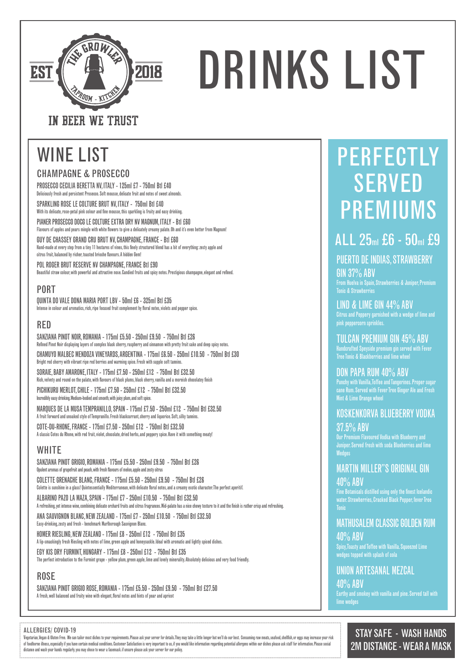#### ALLERGIES/ COVID-19

Vegetarian, Vegan & Gluten Free, We can tailor most dishes to your requirements. Please ask your server for details.They may take a little longer but we'll do our best. Consuming raw meats, seafood, shellfish, or equs may of foodborne illness, especially if you have certain medical conditions. Customer Satisfaction is very important to us, if you would like information regarding potential allergens within our dishes please ask staff for inf distance and wash your hands regularly. you may chose to wear a facemask. if unsure please ask your server for our policy.

## STAY SAFE - WASH HANDS 2M DISTANCE - WEAR A MASK

PROSECCO CECILIA BERETTA NV, ITALY - 125ml £7 - 750ml Btl £40 Deliciously fresh and persistent Prosecco. Soft mousse, delicate fruit and notes of sweet almonds.

SPARKLING ROSE LE COLTURE BRUT NV, ITALY - 750ml Btl £40 With its delicate, rose-petal pink colour and fine mousse, this sparkling is fruity and easy drinking.

PIANER PROSECCO DOCG LE COLTURE EXTRA DRY NV MAGNUM, ITALY - Btl £60 Flavours of apples and pears mingle with white flowers to give a delicately creamy palate. Oh and it's even better from Magnum!

COLETTE GRENACHE BLANC, FRANCE - 175ml £5.50 - 250ml £9.50 - 750ml Btl £26 Colette is sunshine in a glass! Quintessentially Mediterranean, with delicate floral notes, and a creamy exotic character. The perfect aperitif.

GUY DE CHASSEY GRAND CRU BRUT NV, CHAMPAGNE, FRANCE - Btl £60 Hand-made at every step from a tiny 11 hectares of vines, this finely structured blend has a bit of everything: zesty apple and citrus fruit, balanced by richer, toasted brioche flavours. A hidden Gem!

POL ROGER BRUT RESERVE NV CHAMPAGNE, FRANCE Btl £90 Beautiful straw colour, with powerful and attractive nose. Candied fruits and spicy notes. Prestigious champagne, elegant and refined.

## CHAMPAGNE & PROSECCO

## PORT

QUINTA DO VALE DONA MARIA PORT LBV - 50ml £6 - 325ml Btl £35 Intense in colour and aromatics, rich, ripe focused fruit complement by floral notes, violets and pepper spice.

SANZIANA PINOT GRIGIO ROSE, ROMANIA - 175ml £5.50 - 250ml £9.50 - 750ml Btl £27.50 A fresh, well balanced and fruity wine with elegant, floral notes and hints of pear and apricot

### ROSE

SANZIANA PINOT GRIGIO, ROMANIA - 175ml £5.50 - 250ml £9.50 - 750ml Btl £26 Opulent aromas of grapefruit and peach, with fresh flavours of melon, apple and zesty citrus

# WINE LIST FOR PERFECTLY SERVED PREMIUMS

**GIN 37% ABV** From Huelva in Spain, Strawberries & Juniper, Premium Tonic & Strawberries

## LIND & LIME GIN 44% ABV

Our Premium Flavoured Vodka with Blueberry and Juniper. Served fresh with soda Blueberries and lime **Wedges** 

ALBARINO PAZO LA MAZA, SPAIN - 175ml £7 - 250ml £10.50 - 750ml Btl £32.50 A refreshing, yet intense wine, combining delicate orchard fruits and citrus fragrances. Mid-palate has a nice chewy texture to it and the finish is rather crisp and refreshing.

> Spicy, Toasty and Toffee with Vanilla. Squeezed Lime wedges topped with splash of cola

#### ANA SAUVIGNON BLANC, NEW ZEALAND - 175ml £7 - 250ml £10.50 - 750ml Btl £32.50 Easy-drinking, zesty and fresh - benchmark Marlborough Sauvignon Blanc.

HOMER RIESLING, NEW ZEALAND- 175ml £8 - 250ml £12 - 750ml Btl £35 A lip-smackingly fresh Riesling with notes of lime, green apple and honeysuckle. Ideal with aromatic and lightly spiced dishes.

EGY KIS DRY FURMINT, HUNGARY - 175ml £8 - 250ml £12 - 750ml Btl £35 The perfect introduction to the Furmint grape - yellow plum, green apple, lime and lovely minerality. Absolutely delicious and very food friendly.

SANZIANA PINOT NOIR, ROMANIA - 175ml £5.50 - 250ml £9.50 - 750ml Btl £26 Refined Pinot Noir displaying layers of complex black cherry, raspberry and cinnamon with pretty fruit cake and deep spicy notes. CHAMUYO MALBEC MENDOZA VINEYARDS, ARGENTINA - 175ml £6.50 - 250ml £10.50 - 750ml Btl £30 Bright red cherry with vibrant ripe red berries and warming spice. Fresh with supple soft tannins.

SORAIE, BABY AMARONE, ITALY - 175ml £7.50 - 250ml £12 - 750ml Btl £32.50 Rich, velvety and round on the palate, with flavours of black plums, black cherry, vanilla and a moreish chocolatey finish

PICHIKURU MERLOT, CHILE - 175ml £7.50 - 250ml £12 - 750ml Btl £32.50 Incredibly easy drinking. Medium-bodied and smooth, with juicy plum, and soft spice.

MARQUES DE LA MUSA TEMPRANILLO, SPAIN - 175ml £7.50 - 250ml £12 - 750ml Btl £32.50 A fruit forward and unoaked style of Tempranillo. Fresh blackcurrant, cherry and liquorice. Soft, silky tannins.

COTE-DU-RHONE, FRANCE - 175ml £7.50 - 250ml £12 - 750ml Btl £32.50 A classic Cotes du Rhone, with red fruit, violet, chocolate, dried herbs, and peppery spice. Have it with something meaty!

## **WHITE**

## RED



# DRINKS LIST

## IN BEER WE TRUST

## PUERTO DE INDIAS, STRAWBERRY

Citrus and Peppery garnished with a wedge of lime and pink peppercorn sprinkles.

TULCAN PREMIUM GIN 45% ABV Handcrafted Speyside premium gin served with Fever Tree Tonic & Blackberries and lime wheel

DON PAPA RUM 40% ABV

Punchy with Vanilla, Toffee and Tangerines. Proper sugar cane Rum. Served with Fever Tree Ginger Ale and Fresh Mint & Lime Orange wheel

## KOSKENKORVA BLUEBERRY VODKA 37.5% ABV

## MARTIN MILLER"S ORIGINAL GIN 40% ABV

Fine Botanicals distilled using only the finest Icelandic water. Strawberries, Cracked Black Pepper, fever Tree Tonic

MATHUSALEM CLASSIC GOLDEN RUM 40% ABV

UNION ARTESANAL MEZCAL 40% ABV Earthy and smokey with vanilla and pine. Served tall with lime wedges

## ALL 25ml £6 - 50ml £9